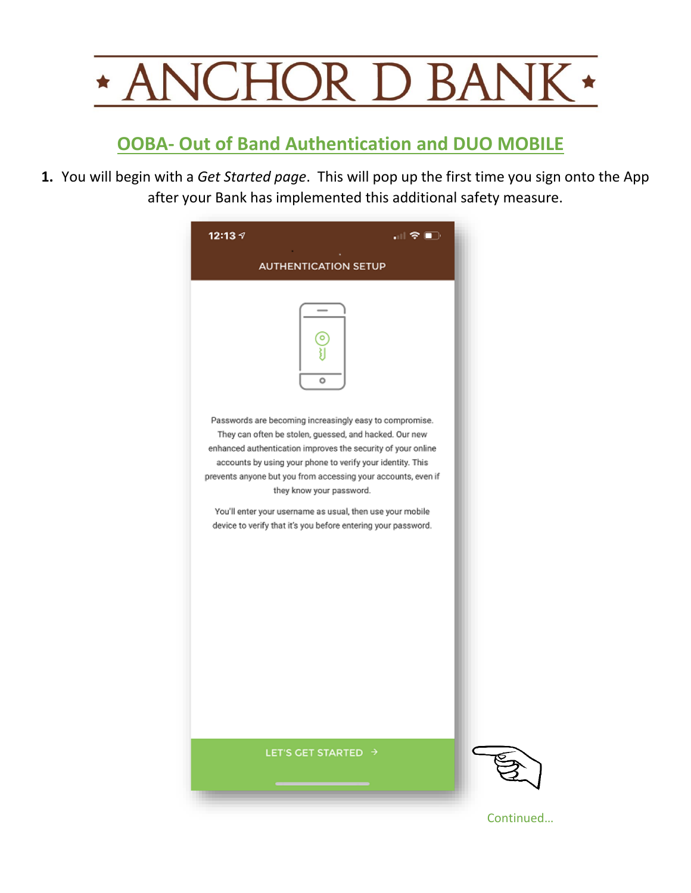

## **OOBA- Out of Band Authentication and DUO MOBILE**

**1.** You will begin with a *Get Started page*. This will pop up the first time you sign onto the App after your Bank has implemented this additional safety measure.

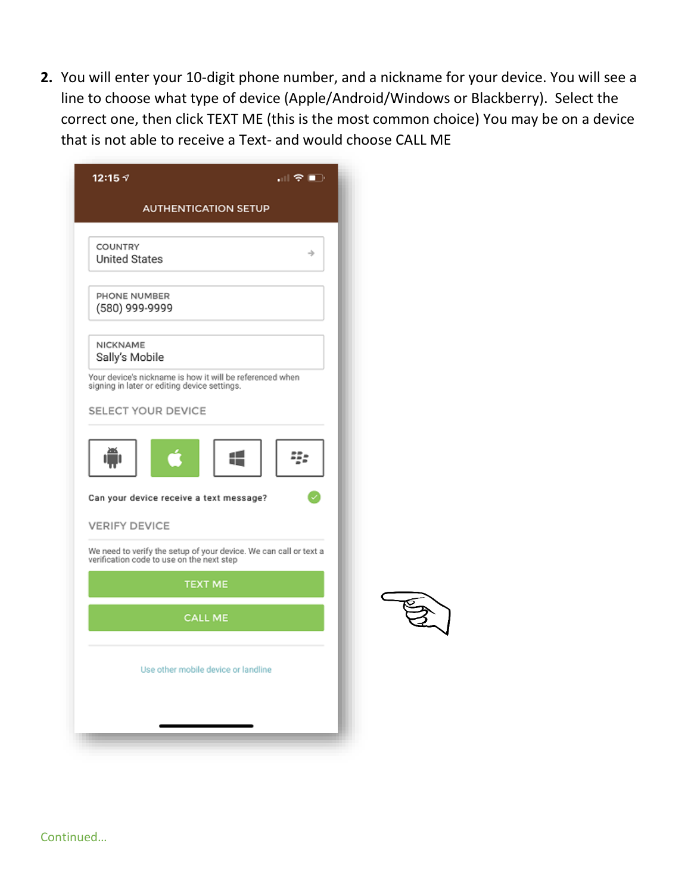**2.** You will enter your 10-digit phone number, and a nickname for your device. You will see a line to choose what type of device (Apple/Android/Windows or Blackberry). Select the correct one, then click TEXT ME (this is the most common choice) You may be on a device that is not able to receive a Text- and would choose CALL ME

| "∥? (D)<br>12:15 $\neg$                                                                                        |  |  |  |  |
|----------------------------------------------------------------------------------------------------------------|--|--|--|--|
| <b>AUTHENTICATION SETUP</b>                                                                                    |  |  |  |  |
| COUNTRY<br>→<br><b>United States</b>                                                                           |  |  |  |  |
| PHONE NUMBER<br>(580) 999-9999                                                                                 |  |  |  |  |
| NICKNAME<br>Sally's Mobile                                                                                     |  |  |  |  |
| Your device's nickname is how it will be referenced when<br>signing in later or editing device settings.       |  |  |  |  |
| SELECT YOUR DEVICE                                                                                             |  |  |  |  |
| Q,<br>Can your device receive a text message?                                                                  |  |  |  |  |
| <b>VERIFY DEVICE</b>                                                                                           |  |  |  |  |
| We need to verify the setup of your device. We can call or text a<br>verification code to use on the next step |  |  |  |  |
| <b>TEXT ME</b>                                                                                                 |  |  |  |  |
| <b>CALL ME</b>                                                                                                 |  |  |  |  |
| Use other mobile device or landline                                                                            |  |  |  |  |
|                                                                                                                |  |  |  |  |

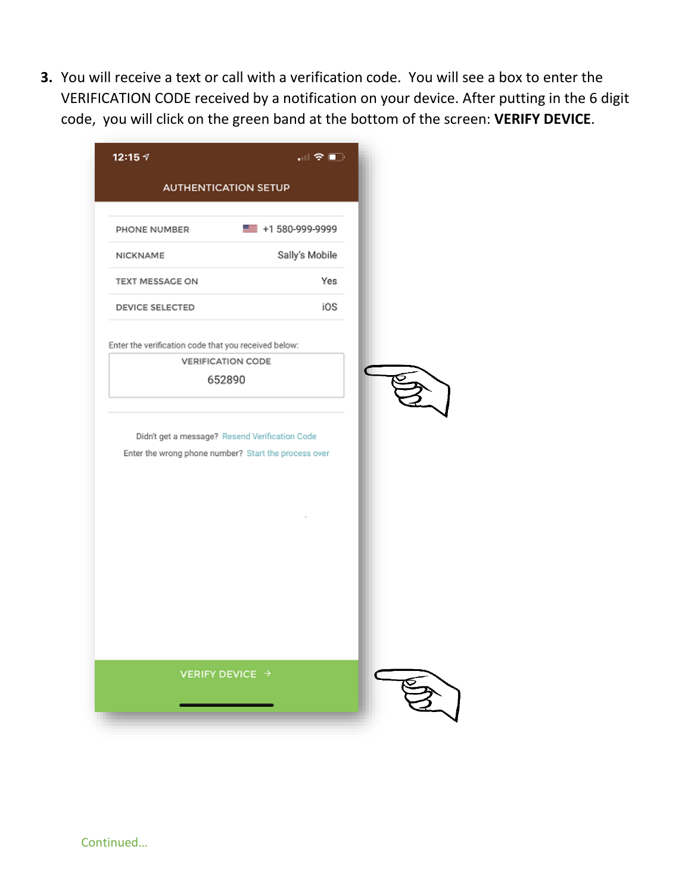**3.** You will receive a text or call with a verification code. You will see a box to enter the VERIFICATION CODE received by a notification on your device. After putting in the 6 digit code, you will click on the green band at the bottom of the screen: **VERIFY DEVICE**.

| 12:15 $\neg$                                         | "H? ©                                                                                                  |  |
|------------------------------------------------------|--------------------------------------------------------------------------------------------------------|--|
|                                                      | <b>AUTHENTICATION SETUP</b>                                                                            |  |
| PHONE NUMBER                                         | $\equiv$ +1 580-999-9999                                                                               |  |
| NICKNAME                                             | Sally's Mobile                                                                                         |  |
| TEXT MESSAGE ON                                      | Yes                                                                                                    |  |
| DEVICE SELECTED                                      | iOS                                                                                                    |  |
| Enter the verification code that you received below: |                                                                                                        |  |
|                                                      | <b>VERIFICATION CODE</b>                                                                               |  |
|                                                      | 652890                                                                                                 |  |
|                                                      |                                                                                                        |  |
|                                                      | Didn't get a message? Resend Verification Code<br>Enter the wrong phone number? Start the process over |  |
|                                                      | VERIFY DEVICE →                                                                                        |  |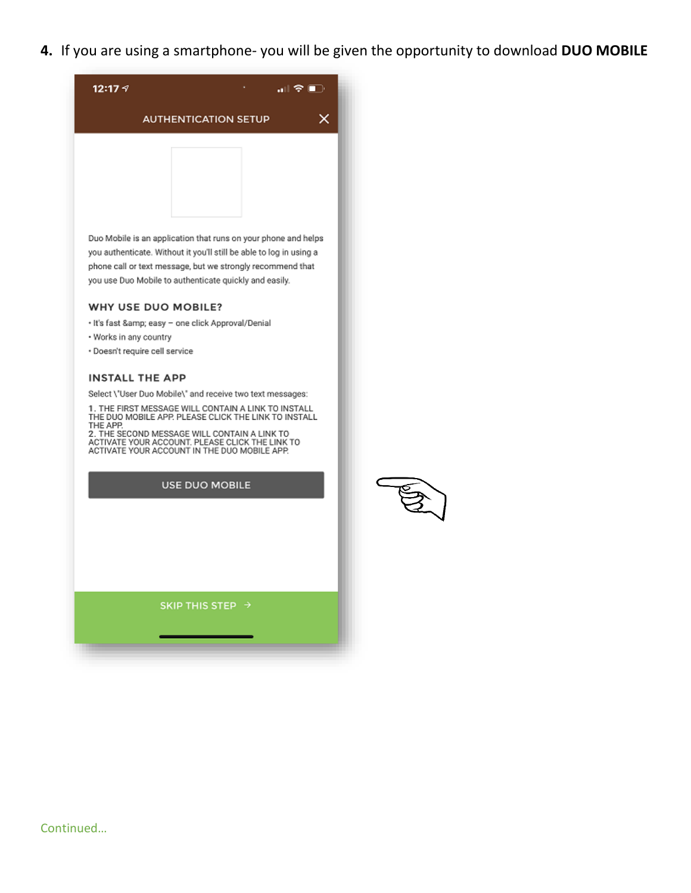**4.** If you are using a smartphone- you will be given the opportunity to download **DUO MOBILE**



Duo Mobile is an application that runs on your phone and helps you authenticate. Without it you'll still be able to log in using a phone call or text message, but we strongly recommend that you use Duo Mobile to authenticate quickly and easily.

## WHY USE DUO MOBILE?

- · It's fast & easy one click Approval/Denial
- . Works in any country
- · Doesn't require cell service

## **INSTALL THE APP**

Select \'User Duo Mobile\' and receive two text messages:

1. THE FIRST MESSAGE WILL CONTAIN A LINK TO INSTALL<br>THE DUO MOBILE APP. PLEASE CLICK THE LINK TO INSTALL THE APP.

THE AFF.<br>2. THE SECOND MESSAGE WILL CONTAIN A LINK TO<br>ACTIVATE YOUR ACCOUNT. PLEASE CLICK THE LINK TO<br>ACTIVATE YOUR ACCOUNT IN THE DUO MOBILE APP.

USE DUO MOBILE



SKIP THIS STEP  $\rightarrow$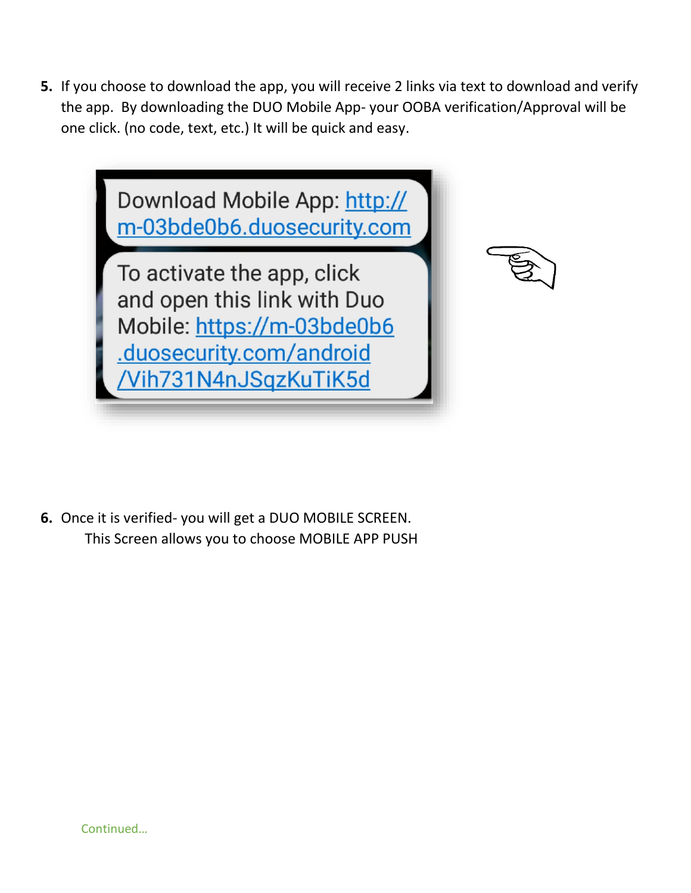**5.** If you choose to download the app, you will receive 2 links via text to download and verify the app. By downloading the DUO Mobile App- your OOBA verification/Approval will be one click. (no code, text, etc.) It will be quick and easy.



**6.** Once it is verified- you will get a DUO MOBILE SCREEN. This Screen allows you to choose MOBILE APP PUSH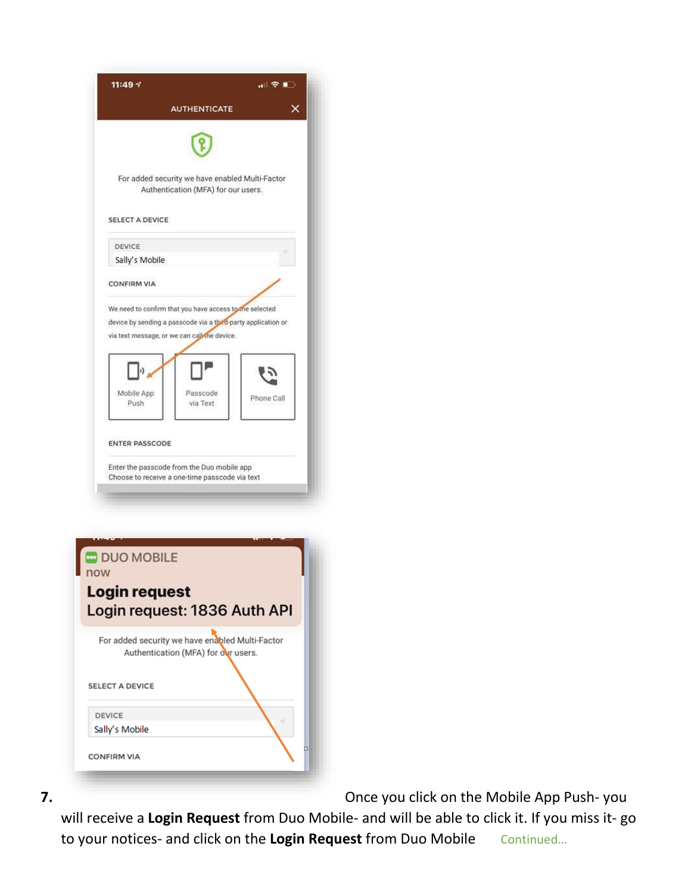|     | 11:49 7<br>…⊫?∎⊡                                                                       |
|-----|----------------------------------------------------------------------------------------|
|     | x<br><b>AUTHENTICATE</b>                                                               |
|     |                                                                                        |
|     | For added security we have enabled Multi-Factor<br>Authentication (MFA) for our users. |
|     | <b>SELECT A DEVICE</b>                                                                 |
|     | <b>DEVICE</b>                                                                          |
|     | Sally's Mobile                                                                         |
|     | <b>CONFIRM VIA</b>                                                                     |
|     | We need to confirm that you have access to the selected                                |
|     | device by sending a passcode via a third-party application or                          |
|     | via text message, or we can call the device.                                           |
|     |                                                                                        |
|     | Mobile App<br>Passcode<br>Phone Call                                                   |
|     | Push<br>via Text                                                                       |
|     | <b>ENTER PASSCODE</b><br>Enter the passcode from the Duo mobile app                    |
|     | Choose to receive a one-time passcode via text                                         |
|     |                                                                                        |
|     |                                                                                        |
|     |                                                                                        |
|     | <b>DUO MOBILE</b>                                                                      |
| now |                                                                                        |
|     | Login request                                                                          |
|     | Login request: 1836 Auth API                                                           |
|     | For added security we have enabled Multi-Factor<br>Authentication (MFA) for our users. |
|     |                                                                                        |
|     | <b>SELECT A DEVICE</b>                                                                 |
|     |                                                                                        |
|     | <b>DEVICE</b>                                                                          |
|     | Sally's Mobile                                                                         |
|     | □                                                                                      |

**7.** Once you click on the Mobile App Push- you

will receive a **Login Request** from Duo Mobile- and will be able to click it. If you miss it- go to your notices- and click on the Login Request from Duo Mobile Continued...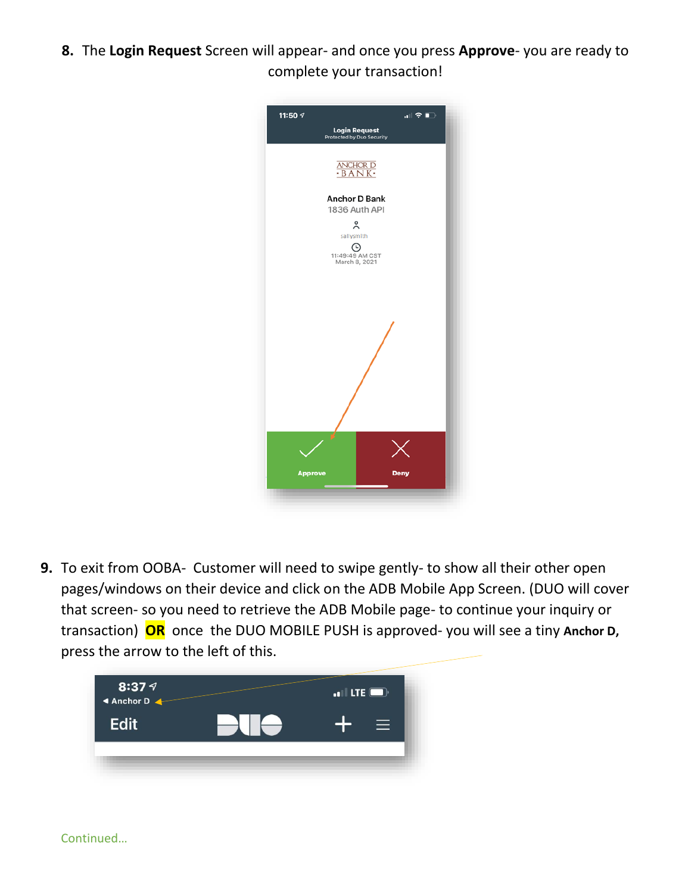**8.** The **Login Request** Screen will appear- and once you press **Approve**- you are ready to complete your transaction!



**9.** To exit from OOBA- Customer will need to swipe gently- to show all their other open pages/windows on their device and click on the ADB Mobile App Screen. (DUO will cover that screen- so you need to retrieve the ADB Mobile page- to continue your inquiry or transaction) **OR** once the DUO MOBILE PUSH is approved- you will see a tiny **Anchor D,** press the arrow to the left of this.

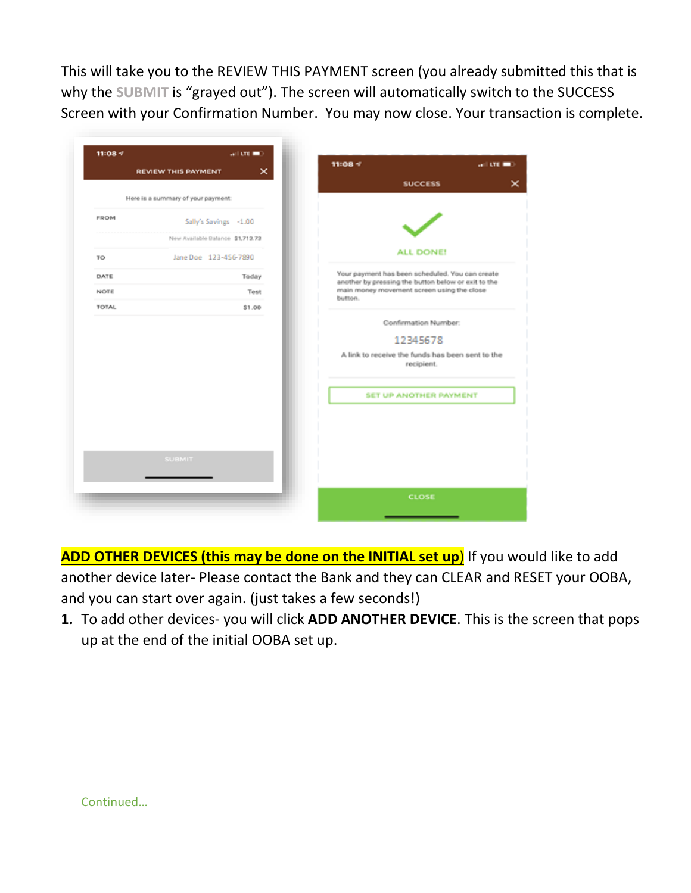This will take you to the REVIEW THIS PAYMENT screen (you already submitted this that is why the **SUBMIT** is "grayed out"). The screen will automatically switch to the SUCCESS Screen with your Confirmation Number. You may now close. Your transaction is complete.

|             | <b>REVIEW THIS PAYMENT</b>         | $\times$ | $11:08 =$                                                                                              |                               | $-$ and $-$ 0.000 $-$ |
|-------------|------------------------------------|----------|--------------------------------------------------------------------------------------------------------|-------------------------------|-----------------------|
|             |                                    |          |                                                                                                        | <b>SUCCESS</b>                | ×                     |
|             | Here is a summary of your payment: |          |                                                                                                        |                               |                       |
| <b>FROM</b> | Sally's Savings -1.00              |          |                                                                                                        |                               |                       |
|             | New Available Balance \$1,713.73   |          |                                                                                                        |                               |                       |
| TO          | Jane Doe 123-456-7890              |          |                                                                                                        | ALL DONE!                     |                       |
| DATE        |                                    | Today    | Your payment has been scheduled. You can create<br>another by pressing the button below or exit to the |                               |                       |
| NOTE        |                                    | Test     | main money movement screen using the close<br>button.                                                  |                               |                       |
| TOTAL       |                                    | \$1.00   |                                                                                                        |                               |                       |
|             |                                    |          |                                                                                                        | Confirmation Number:          |                       |
|             |                                    |          |                                                                                                        | 12345678                      |                       |
|             |                                    |          | A link to receive the funds has been sent to the                                                       | recipient.                    |                       |
|             |                                    |          |                                                                                                        | <b>SET UP ANOTHER PAYMENT</b> |                       |
|             |                                    |          |                                                                                                        |                               |                       |
|             |                                    |          |                                                                                                        |                               |                       |
|             |                                    |          |                                                                                                        |                               |                       |
|             | <b>SUBMIT</b>                      |          |                                                                                                        |                               |                       |
|             |                                    |          |                                                                                                        |                               |                       |
|             |                                    |          |                                                                                                        | CLOSE                         |                       |
|             |                                    |          |                                                                                                        |                               |                       |

**ADD OTHER DEVICES (this may be done on the INITIAL set up**) If you would like to add another device later- Please contact the Bank and they can CLEAR and RESET your OOBA, and you can start over again. (just takes a few seconds!)

**1.** To add other devices- you will click **ADD ANOTHER DEVICE**. This is the screen that pops up at the end of the initial OOBA set up.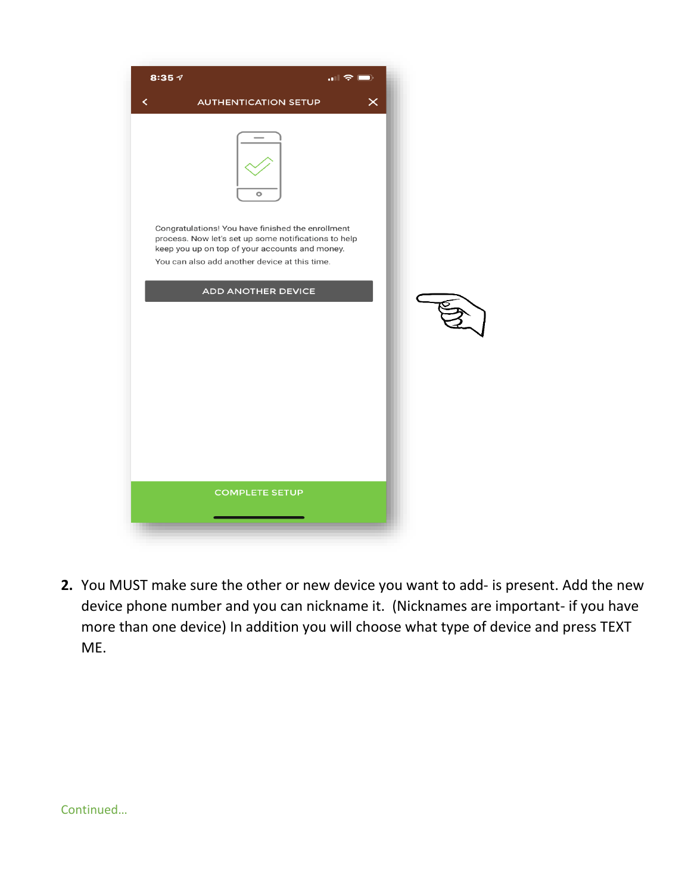| 8:35 $\tau$                                                                                                                                                                                                  |                             | $\blacksquare$ , $\blacksquare$ |  |
|--------------------------------------------------------------------------------------------------------------------------------------------------------------------------------------------------------------|-----------------------------|---------------------------------|--|
| く                                                                                                                                                                                                            | <b>AUTHENTICATION SETUP</b> | $\times$                        |  |
|                                                                                                                                                                                                              | ۰                           |                                 |  |
| Congratulations! You have finished the enrollment<br>process. Now let's set up some notifications to help<br>keep you up on top of your accounts and money.<br>You can also add another device at this time. |                             |                                 |  |
|                                                                                                                                                                                                              | <b>ADD ANOTHER DEVICE</b>   |                                 |  |
|                                                                                                                                                                                                              |                             |                                 |  |
|                                                                                                                                                                                                              | <b>COMPLETE SETUP</b>       |                                 |  |
|                                                                                                                                                                                                              |                             |                                 |  |

**2.** You MUST make sure the other or new device you want to add- is present. Add the new device phone number and you can nickname it. (Nicknames are important- if you have more than one device) In addition you will choose what type of device and press TEXT ME.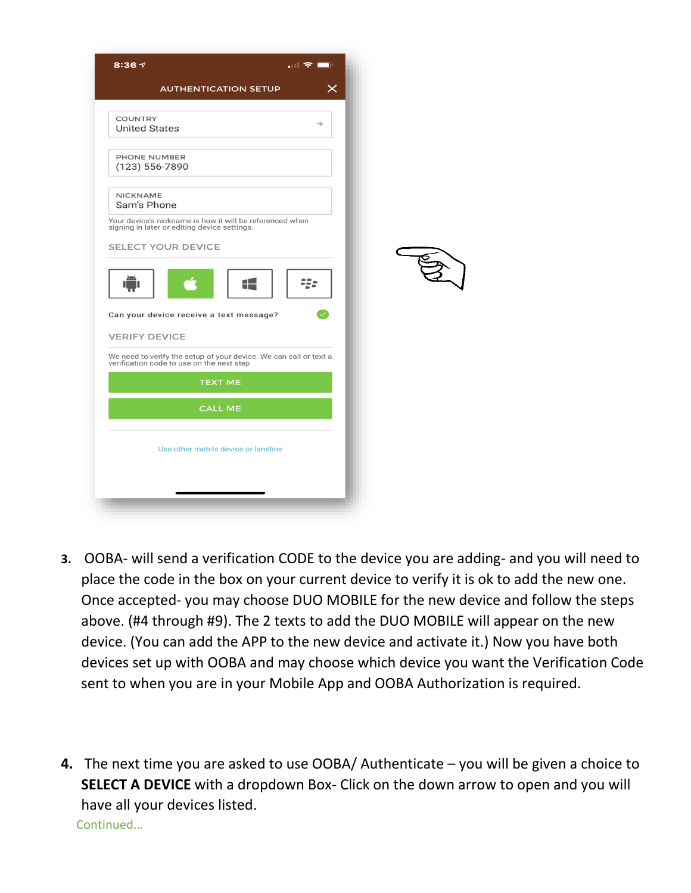| 8:36 $\sim$                                                                                                    | $\blacksquare$ , $\blacksquare$ |  |
|----------------------------------------------------------------------------------------------------------------|---------------------------------|--|
| <b>AUTHENTICATION SETUP</b>                                                                                    | $\boldsymbol{\times}$           |  |
| <b>COUNTRY</b><br><b>United States</b>                                                                         | $\rightarrow$                   |  |
| PHONE NUMBER<br>$(123) 556 - 7890$                                                                             |                                 |  |
| <b>NICKNAME</b><br>Sam's Phone                                                                                 |                                 |  |
| Your device's nickname is how it will be referenced when<br>signing in later or editing device settings.       |                                 |  |
| <b>SELECT YOUR DEVICE</b>                                                                                      |                                 |  |
| ▞▟<br>Can your device receive a text message?                                                                  | 22.                             |  |
| <b>VERIFY DEVICE</b>                                                                                           |                                 |  |
| We need to verify the setup of your device. We can call or text a<br>verification code to use on the next step |                                 |  |
| <b>TEXT ME</b>                                                                                                 |                                 |  |
| <b>CALL ME</b>                                                                                                 |                                 |  |
| Use other mobile device or landline                                                                            |                                 |  |
|                                                                                                                |                                 |  |
|                                                                                                                |                                 |  |

- **3.** OOBA- will send a verification CODE to the device you are adding- and you will need to place the code in the box on your current device to verify it is ok to add the new one. Once accepted- you may choose DUO MOBILE for the new device and follow the steps above. (#4 through #9). The 2 texts to add the DUO MOBILE will appear on the new device. (You can add the APP to the new device and activate it.) Now you have both devices set up with OOBA and may choose which device you want the Verification Code sent to when you are in your Mobile App and OOBA Authorization is required.
- **4.** The next time you are asked to use OOBA/ Authenticate you will be given a choice to **SELECT A DEVICE** with a dropdown Box- Click on the down arrow to open and you will have all your devices listed. Continued…